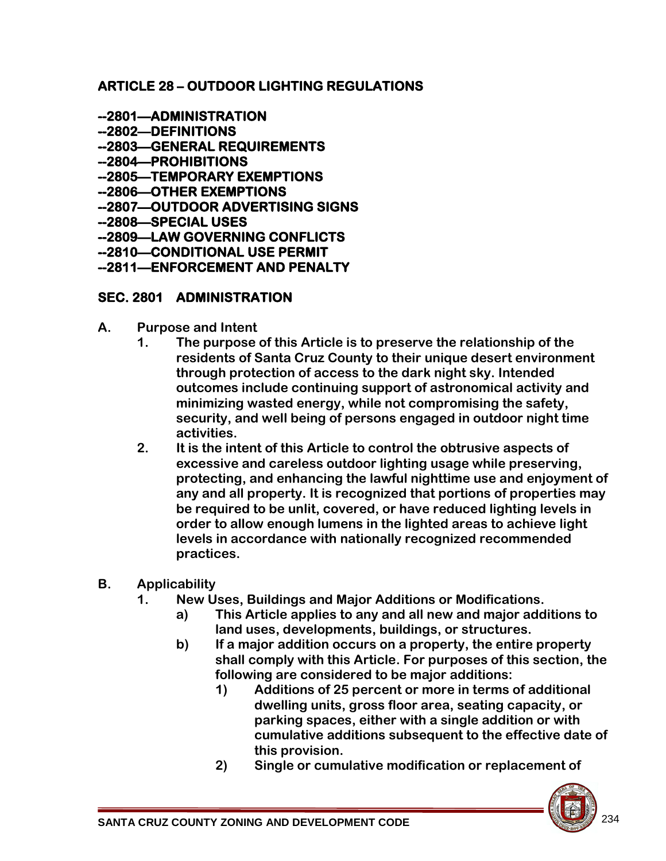#### **ARTICLE 28 – OUTDOOR LIGHTING REGULATIONS**

- **--2801—ADMINISTRATION**
- **--2802—DEFINITIONS**
- **--2803—GENERAL REQUIREMENTS**
- **--2804—PROHIBITIONS**
- **--2805—TEMPORARY EXEMPTIONS**
- **--2806—OTHER EXEMPTIONS**
- **--2807—OUTDOOR ADVERTISING SIGNS**
- **--2808—SPECIAL USES**
- **--2809—LAW GOVERNING CONFLICTS**
- **--2810—CONDITIONAL USE PERMIT**
- **--2811—ENFORCEMENT AND PENALTY**

#### **SEC. 2801 ADMINISTRATION**

- **A. Purpose and Intent** 
	- **1. The purpose of this Article is to preserve the relationship of the residents of Santa Cruz County to their unique desert environment through protection of access to the dark night sky. Intended outcomes include continuing support of astronomical activity and minimizing wasted energy, while not compromising the safety, security, and well being of persons engaged in outdoor night time activities.**
	- **2. It is the intent of this Article to control the obtrusive aspects of excessive and careless outdoor lighting usage while preserving, protecting, and enhancing the lawful nighttime use and enjoyment of any and all property. It is recognized that portions of properties may be required to be unlit, covered, or have reduced lighting levels in order to allow enough lumens in the lighted areas to achieve light levels in accordance with nationally recognized recommended practices.**
- **B. Applicability**
	- **1. New Uses, Buildings and Major Additions or Modifications.** 
		- **a) This Article applies to any and all new and major additions to land uses, developments, buildings, or structures.**
		- **b) If a major addition occurs on a property, the entire property shall comply with this Article. For purposes of this section, the following are considered to be major additions:**
			- **1) Additions of 25 percent or more in terms of additional dwelling units, gross floor area, seating capacity, or parking spaces, either with a single addition or with cumulative additions subsequent to the effective date of this provision.**
			- **2) Single or cumulative modification or replacement of**

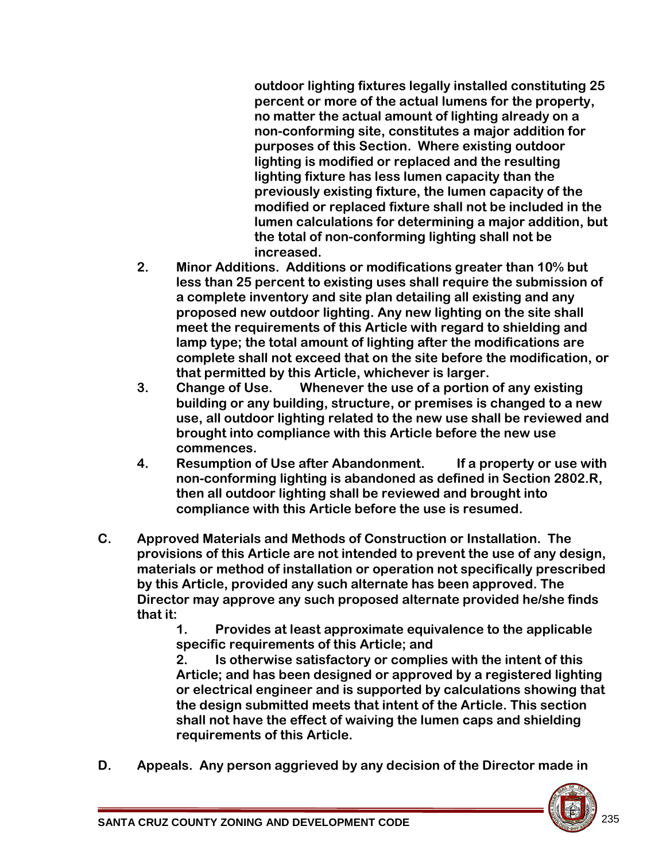**outdoor lighting fixtures legally installed constituting 25 percent or more of the actual lumens for the property, no matter the actual amount of lighting already on a non-conforming site, constitutes a major addition for purposes of this Section. Where existing outdoor lighting is modified or replaced and the resulting lighting fixture has less lumen capacity than the previously existing fixture, the lumen capacity of the modified or replaced fixture shall not be included in the lumen calculations for determining a major addition, but the total of non-conforming lighting shall not be increased.**

- **2. Minor Additions. Additions or modifications greater than 10% but less than 25 percent to existing uses shall require the submission of a complete inventory and site plan detailing all existing and any proposed new outdoor lighting. Any new lighting on the site shall meet the requirements of this Article with regard to shielding and lamp type; the total amount of lighting after the modifications are complete shall not exceed that on the site before the modification, or that permitted by this Article, whichever is larger.**
- **3. Change of Use. Whenever the use of a portion of any existing building or any building, structure, or premises is changed to a new use, all outdoor lighting related to the new use shall be reviewed and brought into compliance with this Article before the new use commences.**
- **4. Resumption of Use after Abandonment. If a property or use with non-conforming lighting is abandoned as defined in Section 2802.R, then all outdoor lighting shall be reviewed and brought into compliance with this Article before the use is resumed.**
- **C. Approved Materials and Methods of Construction or Installation. The provisions of this Article are not intended to prevent the use of any design, materials or method of installation or operation not specifically prescribed by this Article, provided any such alternate has been approved. The Director may approve any such proposed alternate provided he/she finds that it:**

**1. Provides at least approximate equivalence to the applicable specific requirements of this Article; and** 

**2. Is otherwise satisfactory or complies with the intent of this Article; and has been designed or approved by a registered lighting or electrical engineer and is supported by calculations showing that the design submitted meets that intent of the Article. This section shall not have the effect of waiving the lumen caps and shielding requirements of this Article.**

**D. Appeals. Any person aggrieved by any decision of the Director made in** 

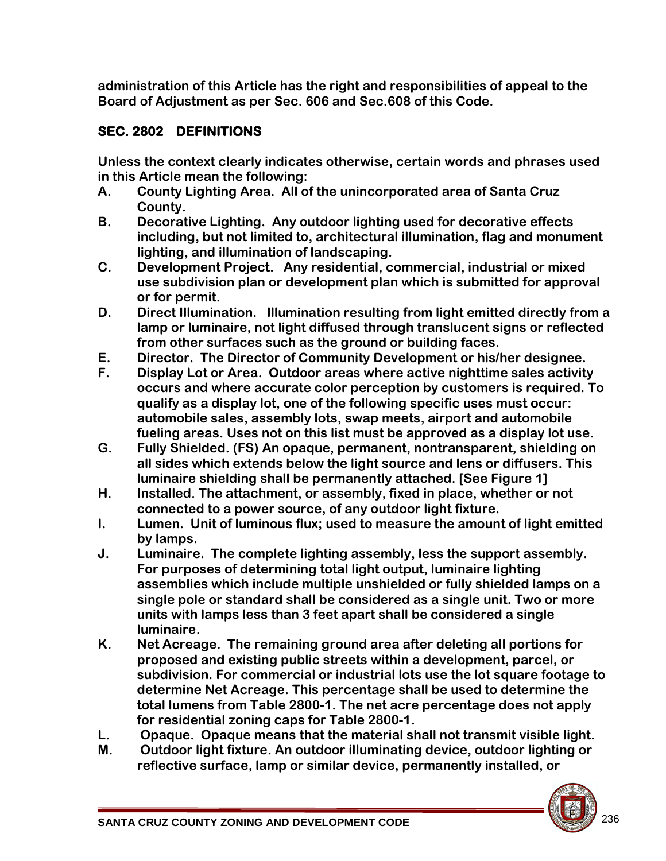**administration of this Article has the right and responsibilities of appeal to the Board of Adjustment as per Sec. 606 and Sec.608 of this Code.**

# **SEC. 2802 DEFINITIONS**

**Unless the context clearly indicates otherwise, certain words and phrases used in this Article mean the following:** 

- **A. County Lighting Area. All of the unincorporated area of Santa Cruz County.**
- **B. Decorative Lighting. Any outdoor lighting used for decorative effects including, but not limited to, architectural illumination, flag and monument lighting, and illumination of landscaping.**
- **C. Development Project. Any residential, commercial, industrial or mixed use subdivision plan or development plan which is submitted for approval or for permit.**
- **D. Direct Illumination. Illumination resulting from light emitted directly from a lamp or luminaire, not light diffused through translucent signs or reflected from other surfaces such as the ground or building faces.**
- **E. Director. The Director of Community Development or his/her designee.**
- **F. Display Lot or Area. Outdoor areas where active nighttime sales activity occurs and where accurate color perception by customers is required. To qualify as a display lot, one of the following specific uses must occur: automobile sales, assembly lots, swap meets, airport and automobile fueling areas. Uses not on this list must be approved as a display lot use.**
- **G. Fully Shielded. (FS) An opaque, permanent, nontransparent, shielding on all sides which extends below the light source and lens or diffusers. This luminaire shielding shall be permanently attached. [See Figure 1]**
- **H. Installed. The attachment, or assembly, fixed in place, whether or not connected to a power source, of any outdoor light fixture.**
- **I. Lumen. Unit of luminous flux; used to measure the amount of light emitted by lamps.**
- **J. Luminaire. The complete lighting assembly, less the support assembly. For purposes of determining total light output, luminaire lighting assemblies which include multiple unshielded or fully shielded lamps on a single pole or standard shall be considered as a single unit. Two or more units with lamps less than 3 feet apart shall be considered a single luminaire.**
- **K. Net Acreage. The remaining ground area after deleting all portions for proposed and existing public streets within a development, parcel, or subdivision. For commercial or industrial lots use the lot square footage to determine Net Acreage. This percentage shall be used to determine the total lumens from Table 2800-1. The net acre percentage does not apply for residential zoning caps for Table 2800-1.**
- **L. Opaque. Opaque means that the material shall not transmit visible light.**
- **M. Outdoor light fixture. An outdoor illuminating device, outdoor lighting or reflective surface, lamp or similar device, permanently installed, or**

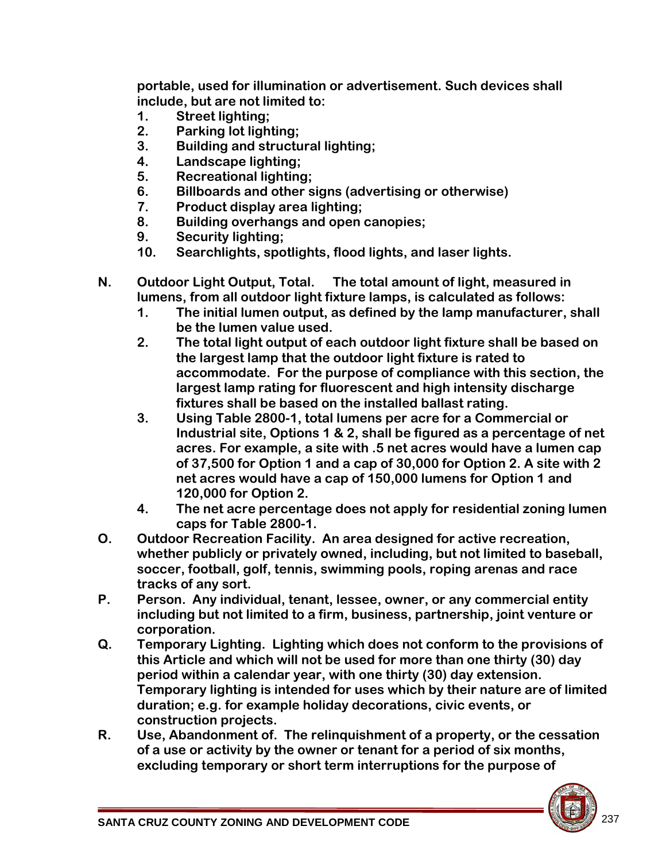**portable, used for illumination or advertisement. Such devices shall include, but are not limited to:** 

- **1. Street lighting;**
- **2. Parking lot lighting;**
- **3. Building and structural lighting;**
- **4. Landscape lighting;**
- **5. Recreational lighting;**
- **6. Billboards and other signs (advertising or otherwise)**
- **7. Product display area lighting;**
- **8. Building overhangs and open canopies;**
- **9. Security lighting;**
- **10. Searchlights, spotlights, flood lights, and laser lights.**
- **N. Outdoor Light Output, Total. The total amount of light, measured in lumens, from all outdoor light fixture lamps, is calculated as follows:** 
	- **1. The initial lumen output, as defined by the lamp manufacturer, shall be the lumen value used.**
	- **2. The total light output of each outdoor light fixture shall be based on the largest lamp that the outdoor light fixture is rated to accommodate. For the purpose of compliance with this section, the largest lamp rating for fluorescent and high intensity discharge fixtures shall be based on the installed ballast rating.**
	- **3. Using Table 2800-1, total lumens per acre for a Commercial or Industrial site, Options 1 & 2, shall be figured as a percentage of net acres. For example, a site with .5 net acres would have a lumen cap of 37,500 for Option 1 and a cap of 30,000 for Option 2. A site with 2 net acres would have a cap of 150,000 lumens for Option 1 and 120,000 for Option 2.**
	- **4. The net acre percentage does not apply for residential zoning lumen caps for Table 2800-1.**
- **O. Outdoor Recreation Facility. An area designed for active recreation, whether publicly or privately owned, including, but not limited to baseball, soccer, football, golf, tennis, swimming pools, roping arenas and race tracks of any sort.**
- **P. Person. Any individual, tenant, lessee, owner, or any commercial entity including but not limited to a firm, business, partnership, joint venture or corporation.**
- **Q. Temporary Lighting. Lighting which does not conform to the provisions of this Article and which will not be used for more than one thirty (30) day period within a calendar year, with one thirty (30) day extension. Temporary lighting is intended for uses which by their nature are of limited duration; e.g. for example holiday decorations, civic events, or construction projects.**
- **R. Use, Abandonment of. The relinquishment of a property, or the cessation of a use or activity by the owner or tenant for a period of six months, excluding temporary or short term interruptions for the purpose of**

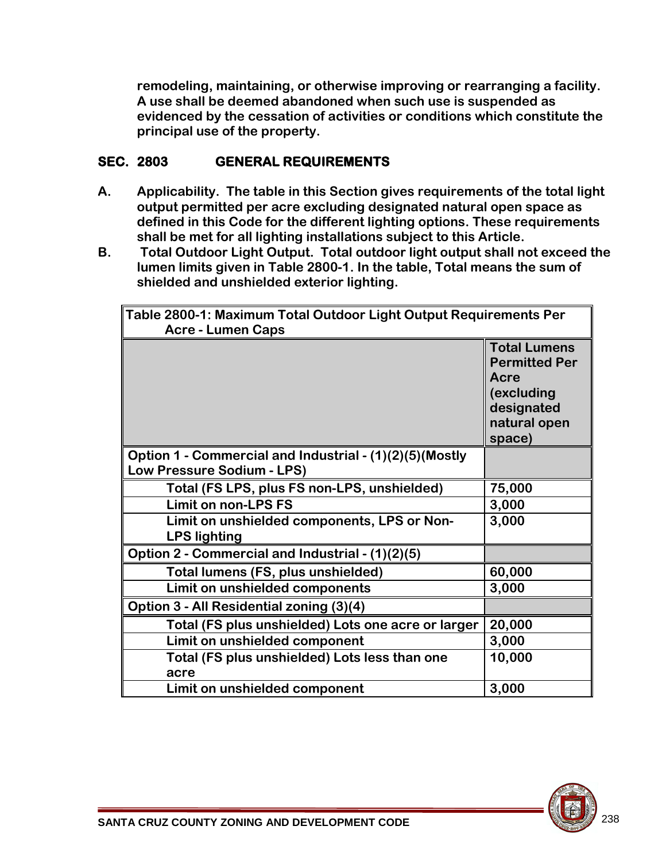**remodeling, maintaining, or otherwise improving or rearranging a facility. A use shall be deemed abandoned when such use is suspended as evidenced by the cessation of activities or conditions which constitute the principal use of the property.** 

#### **SEC. 2803 GENERAL REQUIREMENTS**

- **A. Applicability. The table in this Section gives requirements of the total light output permitted per acre excluding designated natural open space as defined in this Code for the different lighting options. These requirements shall be met for all lighting installations subject to this Article.**
- **B. Total Outdoor Light Output. Total outdoor light output shall not exceed the lumen limits given in Table 2800-1. In the table, Total means the sum of shielded and unshielded exterior lighting.**

| Table 2800-1: Maximum Total Outdoor Light Output Requirements Per<br><b>Acre - Lumen Caps</b> |                                                                                                           |  |
|-----------------------------------------------------------------------------------------------|-----------------------------------------------------------------------------------------------------------|--|
|                                                                                               | <b>Total Lumens</b><br><b>Permitted Per</b><br>Acre<br>(excluding<br>designated<br>natural open<br>space) |  |
| Option 1 - Commercial and Industrial - (1)(2)(5)(Mostly<br>Low Pressure Sodium - LPS)         |                                                                                                           |  |
| Total (FS LPS, plus FS non-LPS, unshielded)                                                   | 75,000                                                                                                    |  |
| <b>Limit on non-LPS FS</b>                                                                    | 3,000                                                                                                     |  |
| Limit on unshielded components, LPS or Non-<br><b>LPS lighting</b>                            | 3,000                                                                                                     |  |
| Option 2 - Commercial and Industrial - (1)(2)(5)                                              |                                                                                                           |  |
| Total lumens (FS, plus unshielded)                                                            | 60,000                                                                                                    |  |
| Limit on unshielded components                                                                | 3,000                                                                                                     |  |
| Option 3 - All Residential zoning (3)(4)                                                      |                                                                                                           |  |
| Total (FS plus unshielded) Lots one acre or larger                                            | 20,000                                                                                                    |  |
| Limit on unshielded component                                                                 | 3,000                                                                                                     |  |
| Total (FS plus unshielded) Lots less than one<br>acre                                         | 10,000                                                                                                    |  |
| Limit on unshielded component                                                                 | 3,000                                                                                                     |  |

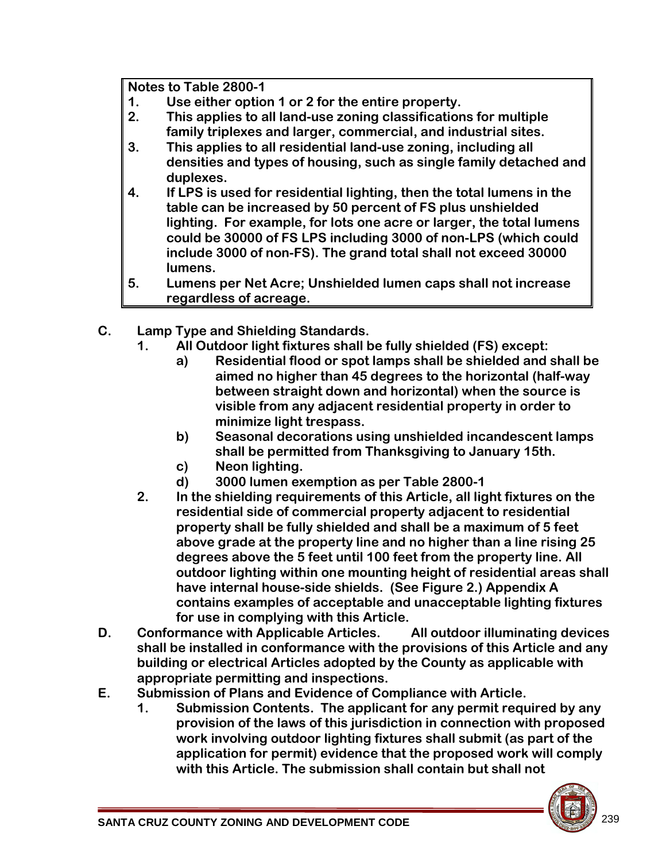**Notes to Table 2800-1**

- **1. Use either option 1 or 2 for the entire property.**
- **2. This applies to all land-use zoning classifications for multiple family triplexes and larger, commercial, and industrial sites.**
- **3. This applies to all residential land-use zoning, including all densities and types of housing, such as single family detached and duplexes.**
- **4. If LPS is used for residential lighting, then the total lumens in the table can be increased by 50 percent of FS plus unshielded lighting. For example, for lots one acre or larger, the total lumens could be 30000 of FS LPS including 3000 of non-LPS (which could include 3000 of non-FS). The grand total shall not exceed 30000 lumens.**
- **5. Lumens per Net Acre; Unshielded lumen caps shall not increase regardless of acreage.**
- **C. Lamp Type and Shielding Standards.**
	- **1. All Outdoor light fixtures shall be fully shielded (FS) except:**
		- **a) Residential flood or spot lamps shall be shielded and shall be aimed no higher than 45 degrees to the horizontal (half-way between straight down and horizontal) when the source is visible from any adjacent residential property in order to minimize light trespass.**
		- **b) Seasonal decorations using unshielded incandescent lamps shall be permitted from Thanksgiving to January 15th.**
		- **c) Neon lighting.**
		- **d) 3000 lumen exemption as per Table 2800-1**
	- **2. In the shielding requirements of this Article, all light fixtures on the residential side of commercial property adjacent to residential property shall be fully shielded and shall be a maximum of 5 feet above grade at the property line and no higher than a line rising 25 degrees above the 5 feet until 100 feet from the property line. All outdoor lighting within one mounting height of residential areas shall have internal house-side shields. (See Figure 2.) Appendix A contains examples of acceptable and unacceptable lighting fixtures for use in complying with this Article.**
- **D. Conformance with Applicable Articles. All outdoor illuminating devices shall be installed in conformance with the provisions of this Article and any building or electrical Articles adopted by the County as applicable with appropriate permitting and inspections.**
- **E. Submission of Plans and Evidence of Compliance with Article.** 
	- **1. Submission Contents. The applicant for any permit required by any provision of the laws of this jurisdiction in connection with proposed work involving outdoor lighting fixtures shall submit (as part of the application for permit) evidence that the proposed work will comply with this Article. The submission shall contain but shall not**

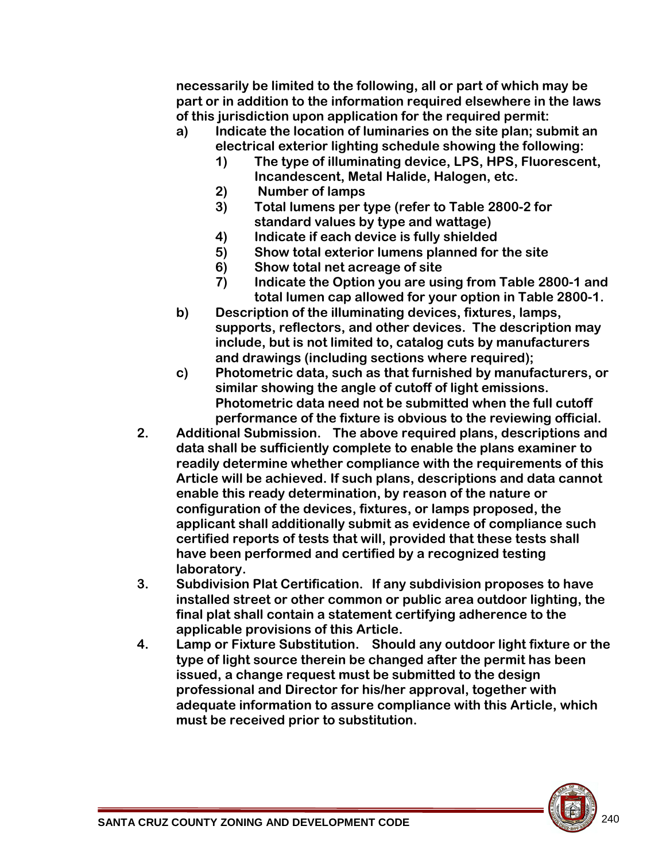**necessarily be limited to the following, all or part of which may be part or in addition to the information required elsewhere in the laws of this jurisdiction upon application for the required permit:**

- **a) Indicate the location of luminaries on the site plan; submit an electrical exterior lighting schedule showing the following:**
	- **1) The type of illuminating device, LPS, HPS, Fluorescent, Incandescent, Metal Halide, Halogen, etc.**
	- **2) Number of lamps**
	- **3) Total lumens per type (refer to Table 2800-2 for standard values by type and wattage)**
	- **4) Indicate if each device is fully shielded**
	- **5) Show total exterior lumens planned for the site**
	- **6) Show total net acreage of site**
	- **7) Indicate the Option you are using from Table 2800-1 and total lumen cap allowed for your option in Table 2800-1.**
- **b) Description of the illuminating devices, fixtures, lamps, supports, reflectors, and other devices. The description may include, but is not limited to, catalog cuts by manufacturers and drawings (including sections where required);**
- **c) Photometric data, such as that furnished by manufacturers, or similar showing the angle of cutoff of light emissions. Photometric data need not be submitted when the full cutoff performance of the fixture is obvious to the reviewing official.**
- **2. Additional Submission. The above required plans, descriptions and data shall be sufficiently complete to enable the plans examiner to readily determine whether compliance with the requirements of this Article will be achieved. If such plans, descriptions and data cannot enable this ready determination, by reason of the nature or configuration of the devices, fixtures, or lamps proposed, the applicant shall additionally submit as evidence of compliance such certified reports of tests that will, provided that these tests shall have been performed and certified by a recognized testing laboratory.**
- **3. Subdivision Plat Certification. If any subdivision proposes to have installed street or other common or public area outdoor lighting, the final plat shall contain a statement certifying adherence to the applicable provisions of this Article.**
- **4. Lamp or Fixture Substitution. Should any outdoor light fixture or the type of light source therein be changed after the permit has been issued, a change request must be submitted to the design professional and Director for his/her approval, together with adequate information to assure compliance with this Article, which must be received prior to substitution.**

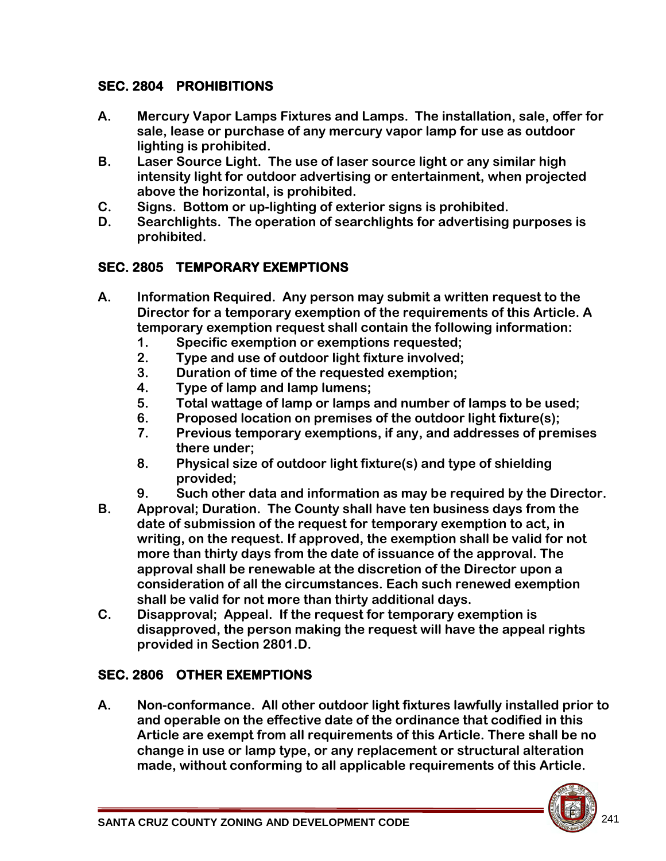#### **SEC. 2804 PROHIBITIONS**

- **A. Mercury Vapor Lamps Fixtures and Lamps. The installation, sale, offer for sale, lease or purchase of any mercury vapor lamp for use as outdoor lighting is prohibited.**
- **B. Laser Source Light. The use of laser source light or any similar high intensity light for outdoor advertising or entertainment, when projected above the horizontal, is prohibited.**
- **C. Signs. Bottom or up-lighting of exterior signs is prohibited.**
- **D. Searchlights. The operation of searchlights for advertising purposes is prohibited.**

# **SEC. 2805 TEMPORARY EXEMPTIONS**

- **A. Information Required. Any person may submit a written request to the Director for a temporary exemption of the requirements of this Article. A temporary exemption request shall contain the following information:** 
	- **1. Specific exemption or exemptions requested;**
	- **2. Type and use of outdoor light fixture involved;**
	- **3. Duration of time of the requested exemption;**
	- **4. Type of lamp and lamp lumens;**
	- **5. Total wattage of lamp or lamps and number of lamps to be used;**
	- **6. Proposed location on premises of the outdoor light fixture(s);**
	- **7. Previous temporary exemptions, if any, and addresses of premises there under;**
	- **8. Physical size of outdoor light fixture(s) and type of shielding provided;**
	- **9. Such other data and information as may be required by the Director.**
- **B. Approval; Duration. The County shall have ten business days from the date of submission of the request for temporary exemption to act, in writing, on the request. If approved, the exemption shall be valid for not more than thirty days from the date of issuance of the approval. The approval shall be renewable at the discretion of the Director upon a consideration of all the circumstances. Each such renewed exemption shall be valid for not more than thirty additional days.**
- **C. Disapproval; Appeal. If the request for temporary exemption is disapproved, the person making the request will have the appeal rights provided in Section 2801.D.**

# **SEC. 2806 OTHER EXEMPTIONS**

**A. Non-conformance. All other outdoor light fixtures lawfully installed prior to and operable on the effective date of the ordinance that codified in this Article are exempt from all requirements of this Article. There shall be no change in use or lamp type, or any replacement or structural alteration made, without conforming to all applicable requirements of this Article.** 

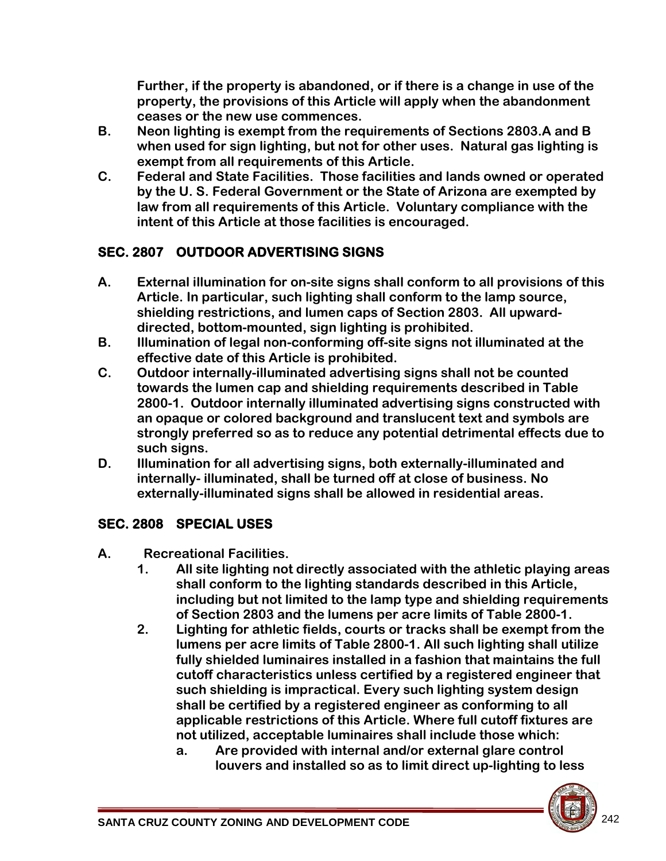**Further, if the property is abandoned, or if there is a change in use of the property, the provisions of this Article will apply when the abandonment ceases or the new use commences.** 

- **B. Neon lighting is exempt from the requirements of Sections 2803.A and B when used for sign lighting, but not for other uses. Natural gas lighting is exempt from all requirements of this Article.**
- **C. Federal and State Facilities. Those facilities and lands owned or operated by the U. S. Federal Government or the State of Arizona are exempted by law from all requirements of this Article. Voluntary compliance with the intent of this Article at those facilities is encouraged.**

# **SEC. 2807 OUTDOOR ADVERTISING SIGNS**

- **A. External illumination for on-site signs shall conform to all provisions of this Article. In particular, such lighting shall conform to the lamp source, shielding restrictions, and lumen caps of Section 2803. All upwarddirected, bottom-mounted, sign lighting is prohibited.**
- **B. Illumination of legal non-conforming off-site signs not illuminated at the effective date of this Article is prohibited.**
- **C. Outdoor internally-illuminated advertising signs shall not be counted towards the lumen cap and shielding requirements described in Table 2800-1. Outdoor internally illuminated advertising signs constructed with an opaque or colored background and translucent text and symbols are strongly preferred so as to reduce any potential detrimental effects due to such signs.**
- **D. Illumination for all advertising signs, both externally-illuminated and internally- illuminated, shall be turned off at close of business. No externally-illuminated signs shall be allowed in residential areas.**

# **SEC. 2808 SPECIAL USES**

- **A. Recreational Facilities.** 
	- **1. All site lighting not directly associated with the athletic playing areas shall conform to the lighting standards described in this Article, including but not limited to the lamp type and shielding requirements of Section 2803 and the lumens per acre limits of Table 2800-1.**
	- **2. Lighting for athletic fields, courts or tracks shall be exempt from the lumens per acre limits of Table 2800-1. All such lighting shall utilize fully shielded luminaires installed in a fashion that maintains the full cutoff characteristics unless certified by a registered engineer that such shielding is impractical. Every such lighting system design shall be certified by a registered engineer as conforming to all applicable restrictions of this Article. Where full cutoff fixtures are not utilized, acceptable luminaires shall include those which:** 
		- **a. Are provided with internal and/or external glare control louvers and installed so as to limit direct up-lighting to less**

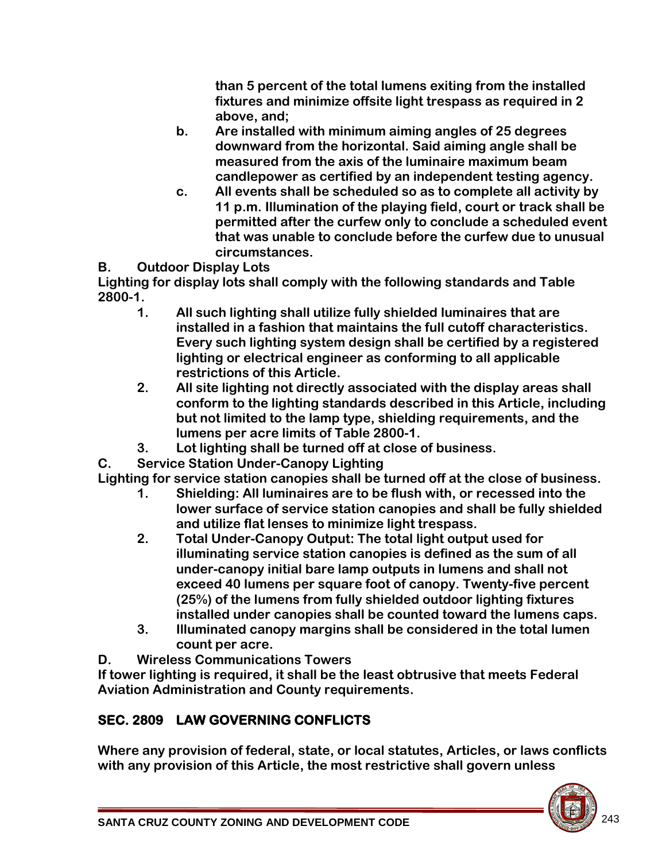**than 5 percent of the total lumens exiting from the installed fixtures and minimize offsite light trespass as required in 2 above, and;** 

- **b. Are installed with minimum aiming angles of 25 degrees downward from the horizontal. Said aiming angle shall be measured from the axis of the luminaire maximum beam candlepower as certified by an independent testing agency.**
- **c. All events shall be scheduled so as to complete all activity by 11 p.m. Illumination of the playing field, court or track shall be permitted after the curfew only to conclude a scheduled event that was unable to conclude before the curfew due to unusual circumstances.**

**B. Outdoor Display Lots**

**Lighting for display lots shall comply with the following standards and Table 2800-1.**

- **1. All such lighting shall utilize fully shielded luminaires that are installed in a fashion that maintains the full cutoff characteristics. Every such lighting system design shall be certified by a registered lighting or electrical engineer as conforming to all applicable restrictions of this Article.**
- **2. All site lighting not directly associated with the display areas shall conform to the lighting standards described in this Article, including but not limited to the lamp type, shielding requirements, and the lumens per acre limits of Table 2800-1.**
- **3. Lot lighting shall be turned off at close of business.**

**C. Service Station Under-Canopy Lighting**

**Lighting for service station canopies shall be turned off at the close of business.** 

- **1. Shielding: All luminaires are to be flush with, or recessed into the lower surface of service station canopies and shall be fully shielded and utilize flat lenses to minimize light trespass.**
- **2. Total Under-Canopy Output: The total light output used for illuminating service station canopies is defined as the sum of all under-canopy initial bare lamp outputs in lumens and shall not exceed 40 lumens per square foot of canopy. Twenty-five percent (25%) of the lumens from fully shielded outdoor lighting fixtures installed under canopies shall be counted toward the lumens caps.**
- **3. Illuminated canopy margins shall be considered in the total lumen count per acre.**

**D. Wireless Communications Towers**

**If tower lighting is required, it shall be the least obtrusive that meets Federal Aviation Administration and County requirements.**

# **SEC. 2809 LAW GOVERNING CONFLICTS**

**Where any provision of federal, state, or local statutes, Articles, or laws conflicts with any provision of this Article, the most restrictive shall govern unless** 

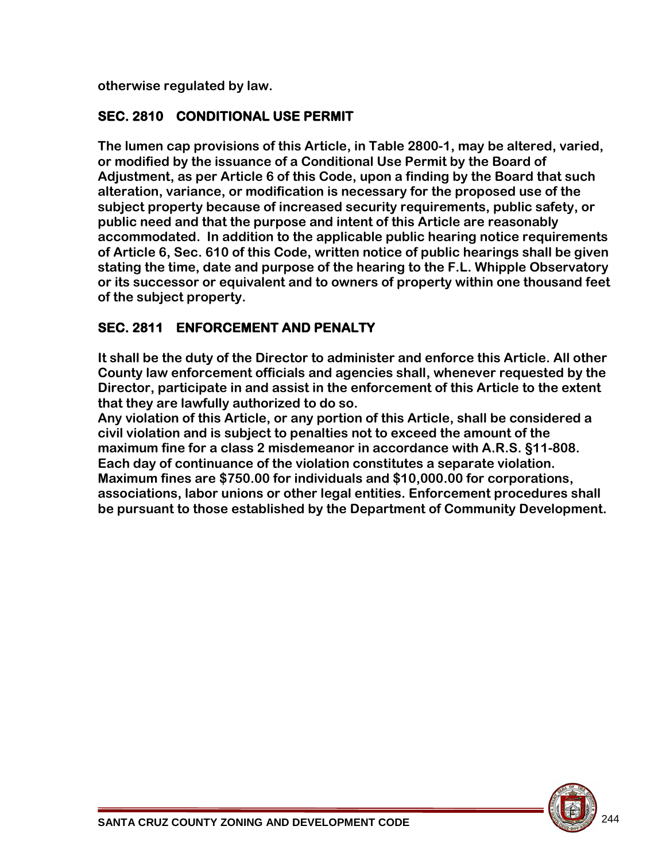**otherwise regulated by law.** 

#### **SEC. 2810 CONDITIONAL USE PERMIT**

**The lumen cap provisions of this Article, in Table 2800-1, may be altered, varied, or modified by the issuance of a Conditional Use Permit by the Board of Adjustment, as per Article 6 of this Code, upon a finding by the Board that such alteration, variance, or modification is necessary for the proposed use of the subject property because of increased security requirements, public safety, or public need and that the purpose and intent of this Article are reasonably accommodated. In addition to the applicable public hearing notice requirements of Article 6, Sec. 610 of this Code, written notice of public hearings shall be given stating the time, date and purpose of the hearing to the F.L. Whipple Observatory or its successor or equivalent and to owners of property within one thousand feet of the subject property.**

# **SEC. 2811 ENFORCEMENT AND PENALTY**

**It shall be the duty of the Director to administer and enforce this Article. All other County law enforcement officials and agencies shall, whenever requested by the Director, participate in and assist in the enforcement of this Article to the extent that they are lawfully authorized to do so.** 

**Any violation of this Article, or any portion of this Article, shall be considered a civil violation and is subject to penalties not to exceed the amount of the maximum fine for a class 2 misdemeanor in accordance with A.R.S. §11-808. Each day of continuance of the violation constitutes a separate violation. Maximum fines are \$750.00 for individuals and \$10,000.00 for corporations, associations, labor unions or other legal entities. Enforcement procedures shall be pursuant to those established by the Department of Community Development.**

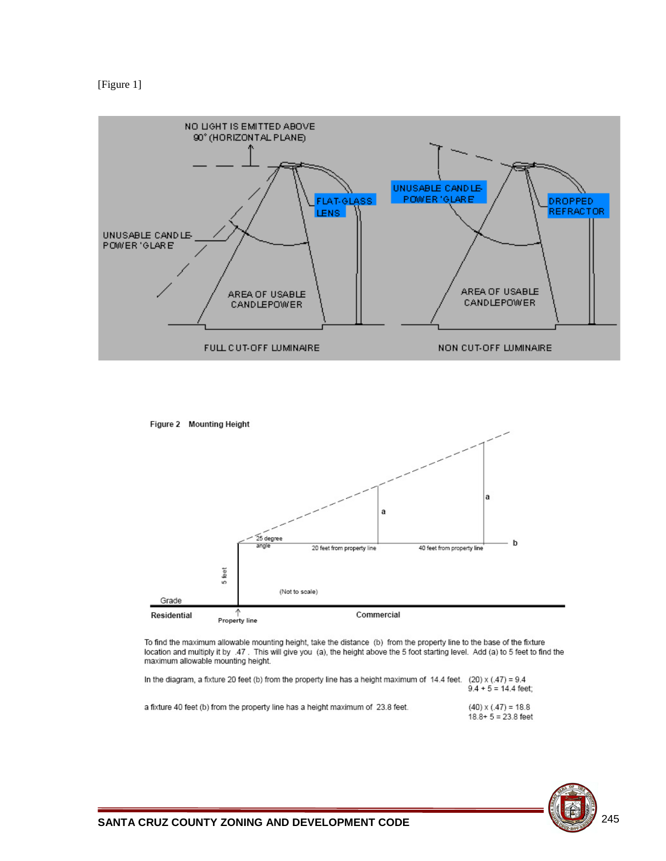





To find the maximum allowable mounting height, take the distance (b) from the property line to the base of the fixture location and multiply it by .47. This will give you (a), the height above the 5 foot starting level. Add (a) to 5 feet to find the maximum allowable mounting height.

| In the diagram, a fixture 20 feet (b) from the property line has a height maximum of 14.4 feet. $(20)$ x (.47) = 9.4 | $9.4 + 5 = 14.4$ feet:                                |
|----------------------------------------------------------------------------------------------------------------------|-------------------------------------------------------|
| a fixture 40 feet (b) from the property line has a height maximum of 23.8 feet.                                      | $(40) \times (0.47) = 18.8$<br>$18.8 + 5 = 23.8$ feet |

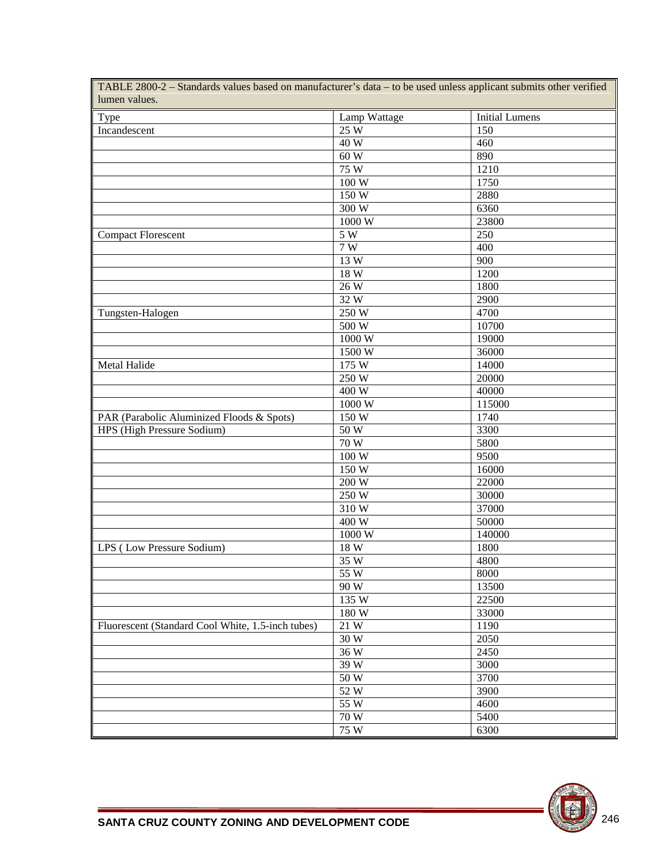| Type                                              | Lamp Wattage      | <b>Initial Lumens</b> |
|---------------------------------------------------|-------------------|-----------------------|
| Incandescent                                      | 25W               | 150                   |
|                                                   | 40W               | 460                   |
|                                                   | 60 W              | 890                   |
|                                                   | 75W               | 1210                  |
|                                                   | 100W              | 1750                  |
|                                                   | 150W              | 2880                  |
|                                                   | 300W              | 6360                  |
|                                                   | 1000W             | 23800                 |
| <b>Compact Florescent</b>                         | 5W                | 250                   |
|                                                   | 7W                | 400                   |
|                                                   | 13 W              | $\overline{900}$      |
|                                                   | 18W               | 1200                  |
|                                                   | 26W               | 1800                  |
|                                                   | 32W               | 2900                  |
| Tungsten-Halogen                                  | 250W              | 4700                  |
|                                                   | 500W              | 10700                 |
|                                                   | 1000W             | 19000                 |
|                                                   |                   | 36000                 |
| <b>Metal Halide</b>                               | 1500W             | 14000                 |
|                                                   | 175 W             |                       |
|                                                   | 250W              | 20000                 |
|                                                   | 400 W             | 40000                 |
|                                                   | 1000 W            | 115000                |
| PAR (Parabolic Aluminized Floods & Spots)         | 150 W             | 1740                  |
| HPS (High Pressure Sodium)                        | 50 W              | 3300                  |
|                                                   | $\overline{70}$ W | 5800                  |
|                                                   | 100 W             | 9500                  |
|                                                   | 150 W             | 16000                 |
|                                                   | 200W              | 22000                 |
|                                                   | 250 W             | 30000                 |
|                                                   | 310W              | 37000                 |
|                                                   | 400 W             | 50000                 |
|                                                   | 1000W             | 140000                |
| LPS (Low Pressure Sodium)                         | 18 W              | 1800                  |
|                                                   | 35 W              | 4800                  |
|                                                   | $\overline{55}$ W | 8000                  |
|                                                   | 90 W              | 13500                 |
|                                                   | 135 W             | 22500                 |
|                                                   | 180 W             | 33000                 |
| Fluorescent (Standard Cool White, 1.5-inch tubes) | 21 W              | 1190                  |
|                                                   | 30 W              | 2050                  |
|                                                   | 36W               | 2450                  |
|                                                   | 39 W              | 3000                  |
|                                                   | 50 W              | 3700                  |
|                                                   | 52W               | 3900                  |
|                                                   | 55 W              | 4600                  |
|                                                   | 70 W              | 5400                  |
|                                                   | 75 W              | 6300                  |

TABLE 2800-2 – Standards values based on manufacturer's data – to be used unless applicant submits other verified